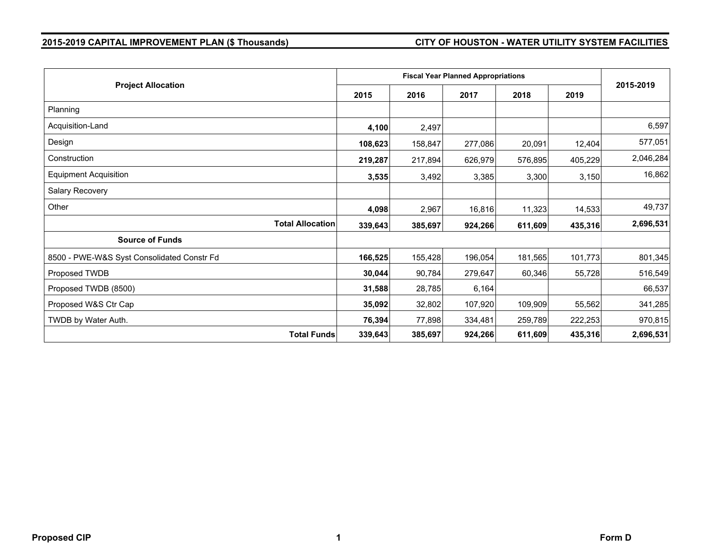# **2015-2019 CAPITAL IMPROVEMENT PLAN (\$ Thousands) CITY OF HOUSTON - WATER UTILITY SYSTEM FACILITIES**

| <b>Project Allocation</b>                  |                                    | <b>Fiscal Year Planned Appropriations</b> |         |         |         |           |  |  |
|--------------------------------------------|------------------------------------|-------------------------------------------|---------|---------|---------|-----------|--|--|
|                                            |                                    | 2016                                      | 2017    | 2018    | 2019    | 2015-2019 |  |  |
| Planning                                   |                                    |                                           |         |         |         |           |  |  |
| Acquisition-Land                           | 4,100                              | 2,497                                     |         |         |         | 6,597     |  |  |
| Design                                     | 108,623                            | 158,847                                   | 277,086 | 20,091  | 12,404  | 577,051   |  |  |
| Construction                               | 219,287                            | 217,894                                   | 626,979 | 576,895 | 405,229 | 2,046,284 |  |  |
| <b>Equipment Acquisition</b>               | 3,535                              | 3,492                                     | 3,385   | 3,300   | 3,150   | 16,862    |  |  |
| Salary Recovery                            |                                    |                                           |         |         |         |           |  |  |
| Other                                      | 4,098                              | 2,967                                     | 16,816  | 11,323  | 14,533  | 49,737    |  |  |
|                                            | <b>Total Allocation</b><br>339,643 | 385,697                                   | 924,266 | 611,609 | 435,316 | 2,696,531 |  |  |
| <b>Source of Funds</b>                     |                                    |                                           |         |         |         |           |  |  |
| 8500 - PWE-W&S Syst Consolidated Constr Fd | 166,525                            | 155,428                                   | 196,054 | 181,565 | 101,773 | 801,345   |  |  |
| Proposed TWDB                              | 30,044                             | 90,784                                    | 279,647 | 60,346  | 55,728  | 516,549   |  |  |
| Proposed TWDB (8500)                       | 31,588                             | 28,785                                    | 6,164   |         |         | 66,537    |  |  |
| Proposed W&S Ctr Cap                       | 35,092                             | 32,802                                    | 107,920 | 109,909 | 55,562  | 341,285   |  |  |
| TWDB by Water Auth.                        | 76,394                             | 77,898                                    | 334,481 | 259,789 | 222,253 | 970,815   |  |  |
|                                            | <b>Total Funds</b><br>339,643      | 385,697                                   | 924,266 | 611,609 | 435,316 | 2,696,531 |  |  |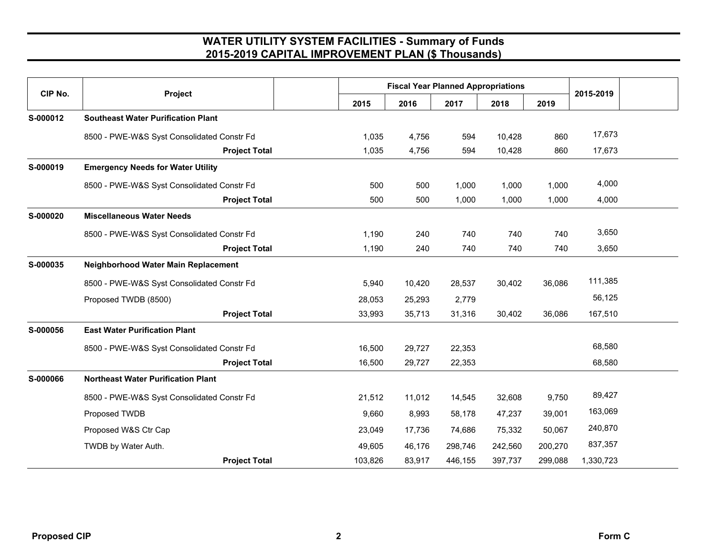| CIP No.  | Project                                    |      | <b>Fiscal Year Planned Appropriations</b> |        |         |         |           |           |  |
|----------|--------------------------------------------|------|-------------------------------------------|--------|---------|---------|-----------|-----------|--|
|          |                                            | 2015 | 2016                                      | 2017   | 2018    | 2019    | 2015-2019 |           |  |
| S-000012 | <b>Southeast Water Purification Plant</b>  |      |                                           |        |         |         |           |           |  |
|          | 8500 - PWE-W&S Syst Consolidated Constr Fd |      | 1,035                                     | 4,756  | 594     | 10,428  | 860       | 17,673    |  |
|          | <b>Project Total</b>                       |      | 1,035                                     | 4,756  | 594     | 10,428  | 860       | 17,673    |  |
| S-000019 | <b>Emergency Needs for Water Utility</b>   |      |                                           |        |         |         |           |           |  |
|          | 8500 - PWE-W&S Syst Consolidated Constr Fd |      | 500                                       | 500    | 1,000   | 1,000   | 1,000     | 4,000     |  |
|          | <b>Project Total</b>                       |      | 500                                       | 500    | 1,000   | 1,000   | 1,000     | 4,000     |  |
| S-000020 | <b>Miscellaneous Water Needs</b>           |      |                                           |        |         |         |           |           |  |
|          | 8500 - PWE-W&S Syst Consolidated Constr Fd |      | 1,190                                     | 240    | 740     | 740     | 740       | 3,650     |  |
|          | <b>Project Total</b>                       |      | 1,190                                     | 240    | 740     | 740     | 740       | 3,650     |  |
| S-000035 | Neighborhood Water Main Replacement        |      |                                           |        |         |         |           |           |  |
|          | 8500 - PWE-W&S Syst Consolidated Constr Fd |      | 5,940                                     | 10,420 | 28,537  | 30,402  | 36,086    | 111,385   |  |
|          | Proposed TWDB (8500)                       |      | 28,053                                    | 25,293 | 2,779   |         |           | 56,125    |  |
|          | <b>Project Total</b>                       |      | 33,993                                    | 35,713 | 31,316  | 30,402  | 36,086    | 167,510   |  |
| S-000056 | <b>East Water Purification Plant</b>       |      |                                           |        |         |         |           |           |  |
|          | 8500 - PWE-W&S Syst Consolidated Constr Fd |      | 16,500                                    | 29,727 | 22,353  |         |           | 68,580    |  |
|          | <b>Project Total</b>                       |      | 16,500                                    | 29,727 | 22,353  |         |           | 68,580    |  |
| S-000066 | <b>Northeast Water Purification Plant</b>  |      |                                           |        |         |         |           |           |  |
|          | 8500 - PWE-W&S Syst Consolidated Constr Fd |      | 21,512                                    | 11,012 | 14,545  | 32,608  | 9,750     | 89,427    |  |
|          | Proposed TWDB                              |      | 9,660                                     | 8,993  | 58,178  | 47,237  | 39,001    | 163,069   |  |
|          | Proposed W&S Ctr Cap                       |      | 23,049                                    | 17,736 | 74,686  | 75,332  | 50,067    | 240,870   |  |
|          | TWDB by Water Auth.                        |      | 49,605                                    | 46,176 | 298,746 | 242,560 | 200,270   | 837,357   |  |
|          | <b>Project Total</b>                       |      | 103,826                                   | 83,917 | 446,155 | 397,737 | 299,088   | 1,330,723 |  |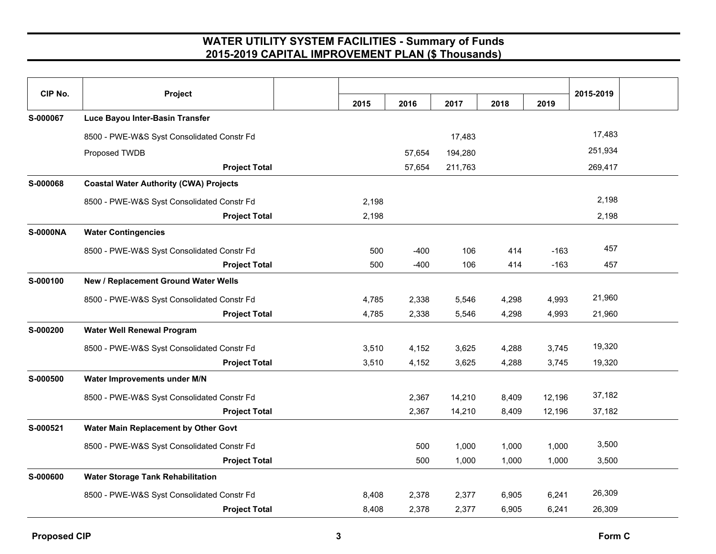| CIP No.         | Project                                       |       |        |         |       |        | 2015-2019 |  |
|-----------------|-----------------------------------------------|-------|--------|---------|-------|--------|-----------|--|
|                 |                                               | 2015  | 2016   | 2017    | 2018  | 2019   |           |  |
| S-000067        | Luce Bayou Inter-Basin Transfer               |       |        |         |       |        |           |  |
|                 | 8500 - PWE-W&S Syst Consolidated Constr Fd    |       |        | 17,483  |       |        | 17,483    |  |
|                 | Proposed TWDB                                 |       | 57,654 | 194,280 |       |        | 251,934   |  |
|                 | <b>Project Total</b>                          |       | 57,654 | 211,763 |       |        | 269,417   |  |
| S-000068        | <b>Coastal Water Authority (CWA) Projects</b> |       |        |         |       |        |           |  |
|                 | 8500 - PWE-W&S Syst Consolidated Constr Fd    | 2,198 |        |         |       |        | 2,198     |  |
|                 | <b>Project Total</b>                          | 2,198 |        |         |       |        | 2,198     |  |
| <b>S-0000NA</b> | <b>Water Contingencies</b>                    |       |        |         |       |        |           |  |
|                 | 8500 - PWE-W&S Syst Consolidated Constr Fd    | 500   | $-400$ | 106     | 414   | $-163$ | 457       |  |
|                 | <b>Project Total</b>                          | 500   | $-400$ | 106     | 414   | $-163$ | 457       |  |
| S-000100        | New / Replacement Ground Water Wells          |       |        |         |       |        |           |  |
|                 | 8500 - PWE-W&S Syst Consolidated Constr Fd    | 4,785 | 2,338  | 5,546   | 4,298 | 4,993  | 21,960    |  |
|                 | <b>Project Total</b>                          | 4,785 | 2,338  | 5,546   | 4,298 | 4,993  | 21,960    |  |
| S-000200        | <b>Water Well Renewal Program</b>             |       |        |         |       |        |           |  |
|                 | 8500 - PWE-W&S Syst Consolidated Constr Fd    | 3,510 | 4,152  | 3,625   | 4,288 | 3,745  | 19,320    |  |
|                 | <b>Project Total</b>                          | 3,510 | 4,152  | 3,625   | 4,288 | 3,745  | 19,320    |  |
| S-000500        | Water Improvements under M/N                  |       |        |         |       |        |           |  |
|                 | 8500 - PWE-W&S Syst Consolidated Constr Fd    |       | 2,367  | 14,210  | 8,409 | 12,196 | 37,182    |  |
|                 | <b>Project Total</b>                          |       | 2,367  | 14,210  | 8,409 | 12,196 | 37,182    |  |
| S-000521        | Water Main Replacement by Other Govt          |       |        |         |       |        |           |  |
|                 | 8500 - PWE-W&S Syst Consolidated Constr Fd    |       | 500    | 1,000   | 1,000 | 1,000  | 3,500     |  |
|                 | <b>Project Total</b>                          |       | 500    | 1,000   | 1,000 | 1,000  | 3,500     |  |
| S-000600        | <b>Water Storage Tank Rehabilitation</b>      |       |        |         |       |        |           |  |
|                 | 8500 - PWE-W&S Syst Consolidated Constr Fd    | 8,408 | 2,378  | 2,377   | 6,905 | 6,241  | 26,309    |  |
|                 | <b>Project Total</b>                          | 8,408 | 2,378  | 2,377   | 6,905 | 6,241  | 26,309    |  |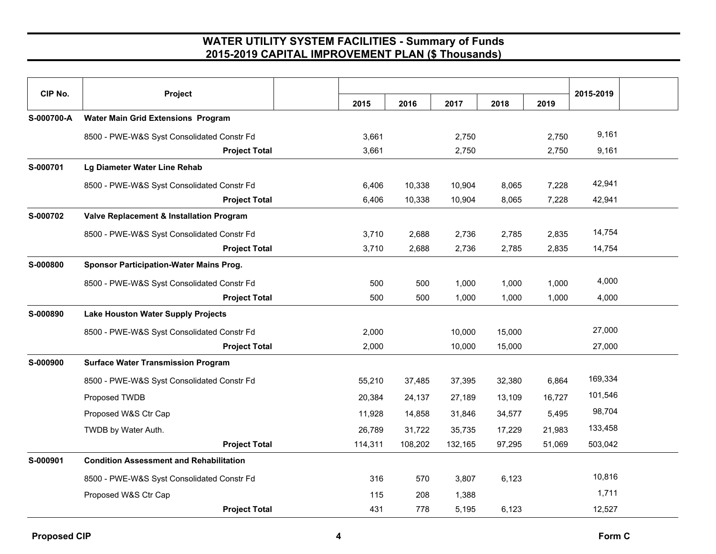| CIP No.    | Project                                        |         |         |         |        |        | 2015-2019 |  |
|------------|------------------------------------------------|---------|---------|---------|--------|--------|-----------|--|
|            |                                                | 2015    | 2016    | 2017    | 2018   | 2019   |           |  |
| S-000700-A | <b>Water Main Grid Extensions Program</b>      |         |         |         |        |        |           |  |
|            | 8500 - PWE-W&S Syst Consolidated Constr Fd     | 3,661   |         | 2,750   |        | 2,750  | 9,161     |  |
|            | <b>Project Total</b>                           | 3,661   |         | 2,750   |        | 2,750  | 9,161     |  |
| S-000701   | Lg Diameter Water Line Rehab                   |         |         |         |        |        |           |  |
|            | 8500 - PWE-W&S Syst Consolidated Constr Fd     | 6,406   | 10,338  | 10,904  | 8,065  | 7,228  | 42,941    |  |
|            | <b>Project Total</b>                           | 6,406   | 10,338  | 10,904  | 8,065  | 7,228  | 42,941    |  |
| S-000702   | Valve Replacement & Installation Program       |         |         |         |        |        |           |  |
|            | 8500 - PWE-W&S Syst Consolidated Constr Fd     | 3,710   | 2,688   | 2,736   | 2,785  | 2,835  | 14,754    |  |
|            | <b>Project Total</b>                           | 3,710   | 2,688   | 2,736   | 2,785  | 2,835  | 14,754    |  |
| S-000800   | <b>Sponsor Participation-Water Mains Prog.</b> |         |         |         |        |        |           |  |
|            | 8500 - PWE-W&S Syst Consolidated Constr Fd     | 500     | 500     | 1,000   | 1,000  | 1,000  | 4,000     |  |
|            | <b>Project Total</b>                           | 500     | 500     | 1,000   | 1,000  | 1,000  | 4,000     |  |
| S-000890   | <b>Lake Houston Water Supply Projects</b>      |         |         |         |        |        |           |  |
|            | 8500 - PWE-W&S Syst Consolidated Constr Fd     | 2,000   |         | 10,000  | 15,000 |        | 27,000    |  |
|            | <b>Project Total</b>                           | 2,000   |         | 10,000  | 15,000 |        | 27,000    |  |
| S-000900   | <b>Surface Water Transmission Program</b>      |         |         |         |        |        |           |  |
|            | 8500 - PWE-W&S Syst Consolidated Constr Fd     | 55,210  | 37,485  | 37,395  | 32,380 | 6,864  | 169,334   |  |
|            | Proposed TWDB                                  | 20,384  | 24,137  | 27,189  | 13.109 | 16,727 | 101,546   |  |
|            | Proposed W&S Ctr Cap                           | 11,928  | 14,858  | 31,846  | 34,577 | 5,495  | 98,704    |  |
|            | TWDB by Water Auth.                            | 26,789  | 31,722  | 35,735  | 17,229 | 21,983 | 133,458   |  |
|            | <b>Project Total</b>                           | 114,311 | 108,202 | 132,165 | 97,295 | 51,069 | 503,042   |  |
| S-000901   | <b>Condition Assessment and Rehabilitation</b> |         |         |         |        |        |           |  |
|            | 8500 - PWE-W&S Syst Consolidated Constr Fd     | 316     | 570     | 3,807   | 6,123  |        | 10,816    |  |
|            | Proposed W&S Ctr Cap                           | 115     | 208     | 1,388   |        |        | 1,711     |  |
|            | <b>Project Total</b>                           | 431     | 778     | 5,195   | 6,123  |        | 12,527    |  |